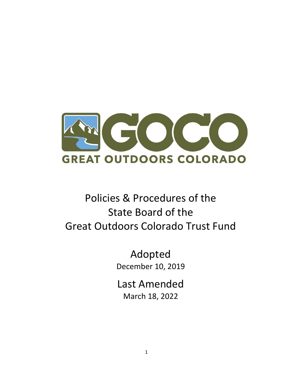

# Policies & Procedures of the State Board of the Great Outdoors Colorado Trust Fund

Adopted December 10, 2019

Last Amended March 18, 2022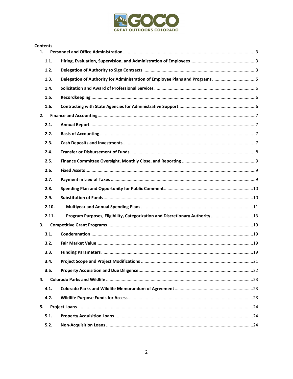

|    | <b>Contents</b> |                                                                              |  |
|----|-----------------|------------------------------------------------------------------------------|--|
| 1. |                 |                                                                              |  |
|    | 1.1.            |                                                                              |  |
|    | 1.2.            |                                                                              |  |
|    | 1.3.            | Delegation of Authority for Administration of Employee Plans and Programs5   |  |
|    | 1.4.            |                                                                              |  |
|    | 1.5.            |                                                                              |  |
|    | 1.6.            |                                                                              |  |
| 2. |                 |                                                                              |  |
|    | 2.1.            |                                                                              |  |
|    | 2.2.            |                                                                              |  |
|    | 2.3.            |                                                                              |  |
|    | 2.4.            |                                                                              |  |
|    | 2.5.            |                                                                              |  |
|    | 2.6.            |                                                                              |  |
|    | 2.7.            |                                                                              |  |
|    | 2.8.            |                                                                              |  |
|    | 2.9.            |                                                                              |  |
|    | 2.10.           |                                                                              |  |
|    | 2.11.           | Program Purposes, Eligibility, Categorization and Discretionary Authority 13 |  |
| 3. |                 |                                                                              |  |
|    | 3.1.            |                                                                              |  |
|    | 3.2.            |                                                                              |  |
|    | 3.3.            |                                                                              |  |
|    | 3.4.            |                                                                              |  |
|    | 3.5.            |                                                                              |  |
| 4. |                 |                                                                              |  |
|    | 4.1.            |                                                                              |  |
|    | 4.2.            |                                                                              |  |
| 5. |                 |                                                                              |  |
|    | 5.1.            |                                                                              |  |
|    | 5.2.            |                                                                              |  |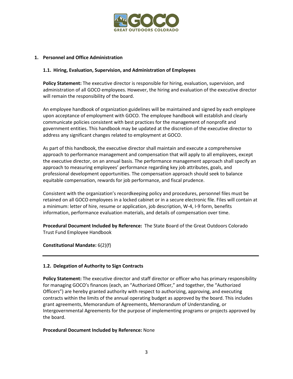

## <span id="page-2-0"></span>**1. Personnel and Office Administration**

## <span id="page-2-1"></span>**1.1. Hiring, Evaluation, Supervision, and Administration of Employees**

**Policy Statement:** The executive director is responsible for hiring, evaluation, supervision, and administration of all GOCO employees. However, the hiring and evaluation of the executive director will remain the responsibility of the board.

An employee handbook of organization guidelines will be maintained and signed by each employee upon acceptance of employment with GOCO. The employee handbook will establish and clearly communicate policies consistent with best practices for the management of nonprofit and government entities. This handbook may be updated at the discretion of the executive director to address any significant changes related to employment at GOCO.

As part of this handbook, the executive director shall maintain and execute a comprehensive approach to performance management and compensation that will apply to all employees, except the executive director, on an annual basis. The performance management approach shall specify an approach to measuring employees' performance regarding key job attributes, goals, and professional development opportunities. The compensation approach should seek to balance equitable compensation, rewards for job performance, and fiscal prudence.

Consistent with the organization's recordkeeping policy and procedures, personnel files must be retained on all GOCO employees in a locked cabinet or in a secure electronic file. Files will contain at a minimum: letter of hire, resume or application, job description, W-4, I-9 form, benefits information, performance evaluation materials, and details of compensation over time.

**Procedural Document Included by Reference:** The State Board of the Great Outdoors Colorado Trust Fund Employee Handbook

#### **Constitutional Mandate:** 6(2)(f)

# <span id="page-2-2"></span>**1.2. Delegation of Authority to Sign Contracts**

**Policy Statement:** The executive director and staff director or officer who has primary responsibility for managing GOCO's finances (each, an "Authorized Officer," and together, the "Authorized Officers") are hereby granted authority with respect to authorizing, approving, and executing contracts within the limits of the annual operating budget as approved by the board. This includes grant agreements, Memorandum of Agreements, Memorandum of Understanding, or Intergovernmental Agreements for the purpose of implementing programs or projects approved by the board.

#### **Procedural Document Included by Reference:** None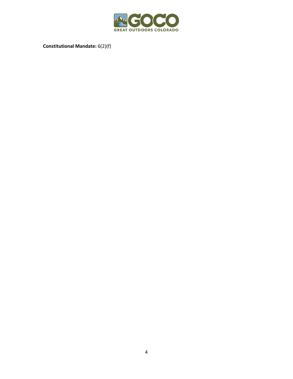

**Constitutional Mandate:** 6(2)(f)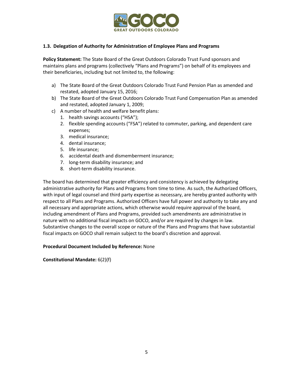

# <span id="page-4-0"></span>**1.3. Delegation of Authority for Administration of Employee Plans and Programs**

**Policy Statement:** The State Board of the Great Outdoors Colorado Trust Fund sponsors and maintains plans and programs (collectively "Plans and Programs") on behalf of its employees and their beneficiaries, including but not limited to, the following:

- a) The State Board of the Great Outdoors Colorado Trust Fund Pension Plan as amended and restated, adopted January 15, 2016;
- b) The State Board of the Great Outdoors Colorado Trust Fund Compensation Plan as amended and restated, adopted January 1, 2009;
- c) A number of health and welfare benefit plans:
	- 1. health savings accounts ("HSA");
	- 2. flexible spending accounts ("FSA") related to commuter, parking, and dependent care expenses;
	- 3. medical insurance;
	- 4. dental insurance;
	- 5. life insurance;
	- 6. accidental death and dismemberment insurance;
	- 7. long-term disability insurance; and
	- 8. short-term disability insurance.

The board has determined that greater efficiency and consistency is achieved by delegating administrative authority for Plans and Programs from time to time. As such, the Authorized Officers, with input of legal counsel and third party expertise as necessary, are hereby granted authority with respect to all Plans and Programs. Authorized Officers have full power and authority to take any and all necessary and appropriate actions, which otherwise would require approval of the board, including amendment of Plans and Programs, provided such amendments are administrative in nature with no additional fiscal impacts on GOCO, and/or are required by changes in law. Substantive changes to the overall scope or nature of the Plans and Programs that have substantial fiscal impacts on GOCO shall remain subject to the board's discretion and approval.

# **Procedural Document Included by Reference:** None

**Constitutional Mandate:** 6(2)(f)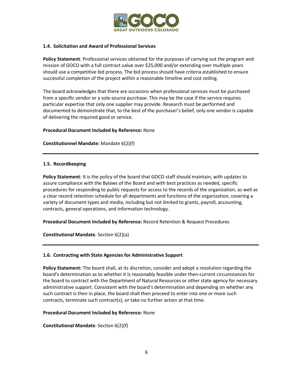

## <span id="page-5-0"></span>**1.4. Solicitation and Award of Professional Services**

**Policy Statement***:* Professional services obtained for the purposes of carrying out the program and mission of GOCO with a full contract value over \$25,000 and/or extending over multiple years should use a competitive bid process. The bid process should have criteria established to ensure successful completion of the project within a reasonable timeline and cost ceiling.

The board acknowledges that there are occasions when professional services must be purchased from a specific vendor or a sole-source purchase. This may be the case if the service requires particular expertise that only one supplier may provide. Research must be performed and documented to demonstrate that, to the best of the purchaser's belief, only one vendor is capable of delivering the required good or service.

## **Procedural Document Included by Reference:** None

**Constitutionnel Mandate:** Mandate 6(2)(f)

## <span id="page-5-1"></span>**1.5. Recordkeeping**

**Policy Statement***:* It is the policy of the board that GOCO staff should maintain, with updates to assure compliance with the Bylaws of the Board and with best practices as needed, specific procedures for responding to public requests for access to the records of the organization, as well as a clear record retention schedule for all departments and functions of the organization, covering a variety of document types and media, including but not limited to grants, payroll, accounting, contracts, general operations, and information technology.

**Procedural Document Included by Reference:** Record Retention & Request Procedures

**Constitutional Mandate***:* Section 6(2)(a)

#### <span id="page-5-2"></span>**1.6. Contracting with State Agencies for Administrative Support**

**Policy Statement:** The board shall, at its discretion, consider and adopt a resolution regarding the board's determination as to whether it is reasonably feasible under then-current circumstances for the board to contract with the Department of Natural Resources or other state agency for necessary administrative support. Consistent with the board's determination and depending on whether any such contract is then in place, the board shall then proceed to enter into one or more such contracts, terminate such contract(s), or take no further action at that time.

#### **Procedural Document Included by Reference:** None

**Constitutional Mandate***:* Section 6(2)(f)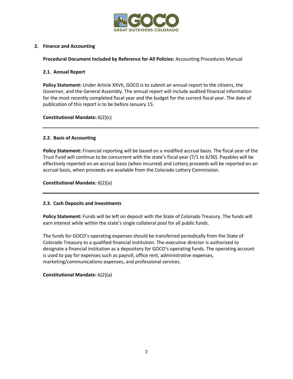

# <span id="page-6-0"></span>**2. Finance and Accounting**

**Procedural Document Included by Reference for All Policies:** Accounting Procedures Manual

# <span id="page-6-1"></span>**2.1. Annual Report**

**Policy Statement:** Under Article XXVII, GOCO is to submit an annual report to the citizens, the Governor, and the General Assembly. The annual report will include audited financial information for the most recently completed fiscal year and the budget for the current fiscal year. The date of publication of this report is to be before January 15.

**Constitutional Mandate:** 6(2)(c)

# <span id="page-6-2"></span>**2.2. Basis of Accounting**

**Policy Statement:** Financial reporting will be based on a modified accrual basis. The fiscal year of the Trust Fund will continue to be concurrent with the state's fiscal year (7/1 to 6/30). Payables will be effectively reported on an accrual basis (when incurred) and Lottery proceeds will be reported on an accrual basis, when proceeds are available from the Colorado Lottery Commission.

**Constitutional Mandate***:* 6(2)(a)

# <span id="page-6-3"></span>**2.3. Cash Deposits and Investments**

**Policy Statement:** Funds will be left on deposit with the State of Colorado Treasury. The funds will earn interest while within the state's single collateral pool for all public funds.

The funds for GOCO's operating expenses should be transferred periodically from the State of Colorado Treasury to a qualified financial institution. The executive director is authorized to designate a financial institution as a depository for GOCO's operating funds. The operating account is used to pay for expenses such as payroll, office rent, administrative expenses, marketing/communications expenses, and professional services.

**Constitutional Mandate:** 6(2)(a)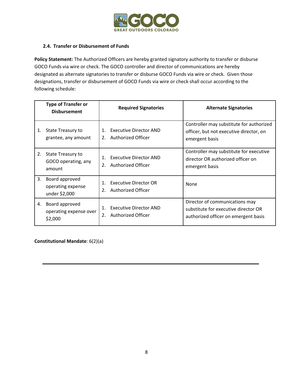

# <span id="page-7-0"></span>**2.4. Transfer or Disbursement of Funds**

**Policy Statement:** The Authorized Officers are hereby granted signatory authority to transfer or disburse GOCO Funds via wire or check. The GOCO controller and director of communications are hereby designated as alternate signatories to transfer or disburse GOCO Funds via wire or check. Given those designations, transfer or disbursement of GOCO Funds via wire or check shall occur according to the following schedule:

|    | <b>Type of Transfer or</b><br><b>Disbursement</b>         | <b>Required Signatories</b>                                                | <b>Alternate Signatories</b>                                                                                   |
|----|-----------------------------------------------------------|----------------------------------------------------------------------------|----------------------------------------------------------------------------------------------------------------|
| 1. | <b>State Treasury to</b><br>grantee, any amount           | <b>Executive Director AND</b><br>$1_{-}$<br>Authorized Officer<br>2.       | Controller may substitute for authorized<br>officer, but not executive director, on<br>emergent basis          |
| 2. | <b>State Treasury to</b><br>GOCO operating, any<br>amount | <b>Executive Director AND</b><br>1.<br><b>Authorized Officer</b><br>2.     | Controller may substitute for executive<br>director OR authorized officer on<br>emergent basis                 |
| 3. | Board approved<br>operating expense<br>under \$2,000      | <b>Executive Director OR</b><br>$\mathbf{1}$ .<br>Authorized Officer<br>2. | None                                                                                                           |
| 4. | Board approved<br>operating expense over<br>\$2,000       | <b>Executive Director AND</b><br>1.<br>Authorized Officer<br>2.            | Director of communications may<br>substitute for executive director OR<br>authorized officer on emergent basis |

**Constitutional Mandate**: 6(2)(a)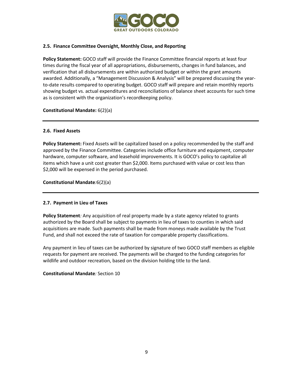

# <span id="page-8-0"></span>**2.5. Finance Committee Oversight, Monthly Close, and Reporting**

**Policy Statement:** GOCO staff will provide the Finance Committee financial reports at least four times during the fiscal year of all appropriations, disbursements, changes in fund balances, and verification that all disbursements are within authorized budget or within the grant amounts awarded. Additionally, a "Management Discussion & Analysis" will be prepared discussing the yearto-date results compared to operating budget. GOCO staff will prepare and retain monthly reports showing budget vs. actual expenditures and reconciliations of balance sheet accounts for such time as is consistent with the organization's recordkeeping policy.

# **Constitutional Mandate:** 6(2)(a)

## <span id="page-8-1"></span>**2.6. Fixed Assets**

**Policy Statement:** Fixed Assets will be capitalized based on a policy recommended by the staff and approved by the Finance Committee. Categories include office furniture and equipment, computer hardware, computer software, and leasehold improvements. It is GOCO's policy to capitalize all items which have a unit cost greater than \$2,000. Items purchased with value or cost less than \$2,000 will be expensed in the period purchased.

**Constitutional Mandate***:*6(2)(a)

# <span id="page-8-2"></span>**2.7. Payment in Lieu of Taxes**

**Policy Statement***:* Any acquisition of real property made by a state agency related to grants authorized by the Board shall be subject to payments in lieu of taxes to counties in which said acquisitions are made. Such payments shall be made from moneys made available by the Trust Fund, and shall not exceed the rate of taxation for comparable property classifications.

Any payment in lieu of taxes can be authorized by signature of two GOCO staff members as eligible requests for payment are received. The payments will be charged to the funding categories for wildlife and outdoor recreation, based on the division holding title to the land.

#### **Constitutional Mandate***:* Section 10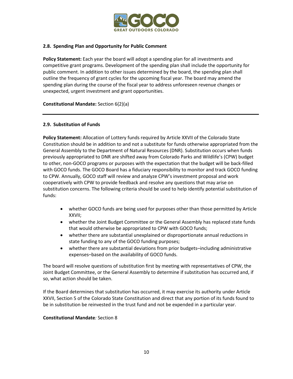

# <span id="page-9-0"></span>**2.8. Spending Plan and Opportunity for Public Comment**

**Policy Statement:** Each year the board will adopt a spending plan for all investments and competitive grant programs. Development of the spending plan shall include the opportunity for public comment. In addition to other issues determined by the board, the spending plan shall outline the frequency of grant cycles for the upcoming fiscal year. The board may amend the spending plan during the course of the fiscal year to address unforeseen revenue changes or unexpected, urgent investment and grant opportunities.

**Constitutional Mandate:** Section 6(2)(a)

# <span id="page-9-1"></span>**2.9. Substitution of Funds**

**Policy Statement:** Allocation of Lottery funds required by Article XXVII of the Colorado State Constitution should be in addition to and not a substitute for funds otherwise appropriated from the General Assembly to the Department of Natural Resources (DNR). Substitution occurs when funds previously appropriated to DNR are shifted away from Colorado Parks and Wildlife's (CPW) budget to other, non-GOCO programs or purposes with the expectation that the budget will be back-filled with GOCO funds. The GOCO Board has a fiduciary responsibility to monitor and track GOCO funding to CPW. Annually, GOCO staff will review and analyze CPW's investment proposal and work cooperatively with CPW to provide feedback and resolve any questions that may arise on substitution concerns. The following criteria should be used to help identify potential substitution of funds:

- whether GOCO funds are being used for purposes other than those permitted by Article XXVII;
- whether the Joint Budget Committee or the General Assembly has replaced state funds that would otherwise be appropriated to CPW with GOCO funds;
- whether there are substantial unexplained or disproportionate annual reductions in state funding to any of the GOCO funding purposes;
- whether there are substantial deviations from prior budgets–including administrative expenses–based on the availability of GOCO funds.

The board will resolve questions of substitution first by meeting with representatives of CPW, the Joint Budget Committee, or the General Assembly to determine if substitution has occurred and, if so, what action should be taken.

If the Board determines that substitution has occurred, it may exercise its authority under Article XXVII, Section 5 of the Colorado State Constitution and direct that any portion of its funds found to be in substitution be reinvested in the trust fund and not be expended in a particular year.

# **Constitutional Mandate***:* Section 8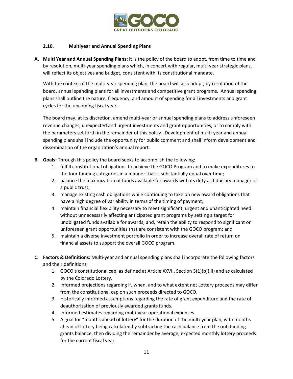

# <span id="page-10-0"></span>**2.10. Multiyear and Annual Spending Plans**

**A. Multi Year and Annual Spending Plans:** It is the policy of the board to adopt, from time to time and by resolution, multi-year spending plans which, in concert with regular, multi-year strategic plans, will reflect its objectives and budget, consistent with its constitutional mandate.

With the context of the multi-year spending plan, the board will also adopt, by resolution of the board, annual spending plans for all investments and competitive grant programs. Annual spending plans shall outline the nature, frequency, and amount of spending for all investments and grant cycles for the upcoming fiscal year.

The board may, at its discretion, amend multi-year or annual spending plans to address unforeseen revenue changes, unexpected and urgent investments and grant opportunities, or to comply with the parameters set forth in the remainder of this policy. Development of multi-year and annual spending plans shall include the opportunity for public comment and shall inform development and dissemination of the organization's annual report.

- **B. Goals:** Through this policy the board seeks to accomplish the following:
	- 1. fulfill constitutional obligations to achieve the GOCO Program and to make expenditures to the four funding categories in a manner that is substantially equal over time;
	- 2. balance the maximization of funds available for awards with its duty as fiduciary manager of a public trust;
	- 3. manage existing cash obligations while continuing to take on new award obligations that have a high degree of variability in terms of the timing of payment;
	- 4. maintain financial flexibility necessary to meet significant, urgent and unanticipated need without unnecessarily affecting anticipated grant programs by setting a target for unobligated funds available for awards; and, retain the ability to respond to significant or unforeseen grant opportunities that are consistent with the GOCO program; and
	- 5. maintain a diverse investment portfolio in order to increase overall rate of return on financial assets to support the overall GOCO program.
- **C. Factors & Definitions:** Multi-year and annual spending plans shall incorporate the following factors and their definitions:
	- 1. GOCO's constitutional cap, as defined at Article XXVII, Section 3(1)(b)(III) and as calculated by the Colorado Lottery.
	- 2. Informed projections regarding if, when, and to what extent net Lottery proceeds may differ from the constitutional cap on such proceeds directed to GOCO.
	- 3. Historically informed assumptions regarding the rate of grant expenditure and the rate of deauthorization of previously awarded grants funds.
	- 4. Informed estimates regarding multi-year operational expenses.
	- 5. A goal for "months ahead of lottery" for the duration of the multi-year plan, with months ahead of lottery being calculated by subtracting the cash balance from the outstanding grants balance, then dividing the remainder by average, expected monthly lottery proceeds for the current fiscal year.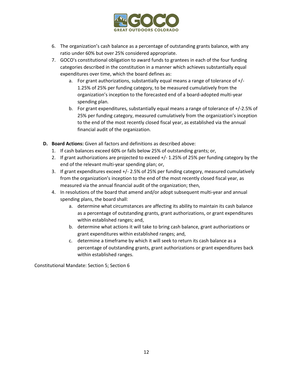

- 6. The organization's cash balance as a percentage of outstanding grants balance, with any ratio under 60% but over 25% considered appropriate.
- 7. GOCO's constitutional obligation to award funds to grantees in each of the four funding categories described in the constitution in a manner which achieves substantially equal expenditures over time, which the board defines as:
	- a. For grant authorizations, substantially equal means a range of tolerance of +/- 1.25% of 25% per funding category, to be measured cumulatively from the organization's inception to the forecasted end of a board-adopted multi-year spending plan.
	- b. For grant expenditures, substantially equal means a range of tolerance of +/-2.5% of 25% per funding category, measured cumulatively from the organization's inception to the end of the most recently closed fiscal year, as established via the annual financial audit of the organization.
- **D. Board Actions:** Given all factors and definitions as described above:
	- 1. If cash balances exceed 60% or falls below 25% of outstanding grants; or,
	- 2. If grant authorizations are projected to exceed +/- 1.25% of 25% per funding category by the end of the relevant multi-year spending plan; or,
	- 3. If grant expenditures exceed +/- 2.5% of 25% per funding category, measured cumulatively from the organization's inception to the end of the most recently closed fiscal year, as measured via the annual financial audit of the organization; then,
	- 4. In resolutions of the board that amend and/or adopt subsequent multi-year and annual spending plans, the board shall:
		- a. determine what circumstances are affecting its ability to maintain its cash balance as a percentage of outstanding grants, grant authorizations, or grant expenditures within established ranges; and,
		- b. determine what actions it will take to bring cash balance, grant authorizations or grant expenditures within established ranges; and,
		- c. determine a timeframe by which it will seek to return its cash balance as a percentage of outstanding grants, grant authorizations or grant expenditures back within established ranges.

Constitutional Mandate: Section 5; Section 6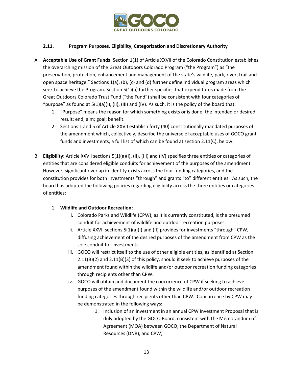

# <span id="page-12-0"></span>**2.11. Program Purposes, Eligibility, Categorization and Discretionary Authority**

- A. **Acceptable Use of Grant Funds**: Section 1(1) of Article XXVII of the Colorado Constitution establishes the overarching mission of the Great Outdoors Colorado Program ("the Program") as "the preservation, protection, enhancement and management of the state's wildlife, park, river, trail and open space heritage." Sections 1(a), (b), (c) and (d) further define individual program areas which seek to achieve the Program. Section 5(1)(a) further specifies that expenditures made from the Great Outdoors Colorado Trust Fund ("the Fund") shall be consistent with four categories of "purpose" as found at  $5(1)(a)(I), (II), (III)$  and  $(IV)$ . As such, it is the policy of the board that:
	- 1. "Purpose" means the reason for which something exists or is done; the intended or desired result; end; aim; goal; benefit.
	- 2. Sections 1 and 5 of Article XXVII establish forty (40) constitutionally mandated purposes of the amendment which, collectively, describe the universe of acceptable uses of GOCO grant funds and investments, a full list of which can be found at section 2.11(C), below.
- B. **Eligibility:** Article XXVII sections 5(1)(a)(I), (II), (III) and (IV) specifies three entities or categories of entities that are considered eligible conduits for achievement of the purposes of the amendment. However, significant overlap in identity exists across the four funding categories, and the constitution provides for both investments "through" and grants "to" different entities. As such, the board has adopted the following policies regarding eligibility across the three entities or categories of entities:

# 1. **Wildlife and Outdoor Recreation:**

- i. Colorado Parks and Wildlife (CPW), as it is currently constituted, is the presumed conduit for achievement of wildlife and outdoor recreation purposes.
- ii. Article XXVII sections 5(1)(a)(I) and (II) provides for investments "through" CPW, diffusing achievement of the desired purposes of the amendment from CPW as the sole conduit for investments.
- iii. GOCO will restrict itself to the use of other eligible entities, as identified at Section 2.11(B)(2) and 2.11(B)(3) of this policy, should it seek to achieve purposes of the amendment found within the wildlife and/or outdoor recreation funding categories through recipients other than CPW.
- iv. GOCO will obtain and document the concurrence of CPW if seeking to achieve purposes of the amendment found within the wildlife and/or outdoor recreation funding categories through recipients other than CPW. Concurrence by CPW may be demonstrated in the following ways:
	- 1. Inclusion of an investment in an annual CPW Investment Proposal that is duly adopted by the GOCO Board, consistent with the Memorandum of Agreement (MOA) between GOCO, the Department of Natural Resources (DNR), and CPW;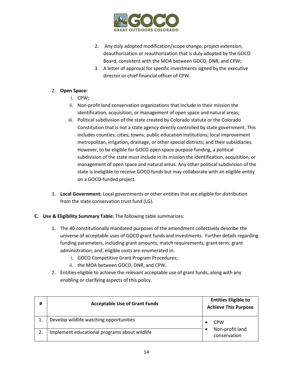

- 2. Any duly adopted modification/scope change, project extension, deauthorization or reauthorization that is duly adopted by the GOCO Board, consistent with the MOA between GOCO, DNR, and CPW;
- 3. A letter of approval for specific investments signed by the executive director or chief financial officer of CPW.

# 2. **Open Space:**

- i. CPW;
- ii. Non-profit land conservation organizations that include in their mission the identification, acquisition, or management of open space and natural areas;
- iii. Political subdivision of the state created by Colorado statute or the Colorado Constitution that is not a state agency directly controlled by state government. This includes counties; cities; towns; public education institutions; local improvement metropolitan, irrigation, drainage, or other special districts; and their subsidiaries. However, to be eligible for GOCO open space purpose funding, a political subdivision of the state must include in its mission the identification, acquisition, or management of open space and natural areas. Any other political subdivision of the state is ineligible to receive GOCO funds but may collaborate with an eligible entity on a GOCO-funded project.
- 3. **Local Government:** Local governments or other entities that are eligible for distribution from the state conservation trust fund (LG).

# **C. Use & Eligibility Summary Table:** The following table summarizes:

- 1. The 40 constitutionally mandated purposes of the amendment collectively describe the universe of acceptable uses of GOCO grant funds and investments. Further details regarding funding parameters, including grant amounts; match requirements; grant term; grant administration; and, eligible costs are enumerated in:
	- i. GOCO Competitive Grant Program Procedures;
	- ii. the MOA between GOCO, DNR, and CPW.
- 2. Entities eligible to achieve the relevant acceptable use of grant funds, along with any enabling or clarifying aspects of this policy.

| # | <b>Acceptable Use of Grant Funds</b>          | <b>Entities Eligible to</b><br><b>Achieve This Purpose</b> |
|---|-----------------------------------------------|------------------------------------------------------------|
|   | Develop wildlife watching opportunities       | <b>CPW</b><br>Non-profit land<br>conservation              |
|   | Implement educational programs about wildlife |                                                            |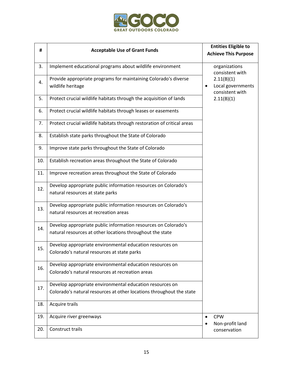

| #   | <b>Acceptable Use of Grant Funds</b>                                                                                             | <b>Entities Eligible to</b><br><b>Achieve This Purpose</b> |  |
|-----|----------------------------------------------------------------------------------------------------------------------------------|------------------------------------------------------------|--|
| 3.  | Implement educational programs about wildlife environment                                                                        | organizations<br>consistent with                           |  |
| 4.  | Provide appropriate programs for maintaining Colorado's diverse<br>wildlife heritage                                             | 2.11(B)(1)<br>Local governments<br>consistent with         |  |
| 5.  | Protect crucial wildlife habitats through the acquisition of lands                                                               | 2.11(B)(1)                                                 |  |
| 6.  | Protect crucial wildlife habitats through leases or easements                                                                    |                                                            |  |
| 7.  | Protect crucial wildlife habitats through restoration of critical areas                                                          |                                                            |  |
| 8.  | Establish state parks throughout the State of Colorado                                                                           |                                                            |  |
| 9.  | Improve state parks throughout the State of Colorado                                                                             |                                                            |  |
| 10. | Establish recreation areas throughout the State of Colorado                                                                      |                                                            |  |
| 11. | Improve recreation areas throughout the State of Colorado                                                                        |                                                            |  |
| 12. | Develop appropriate public information resources on Colorado's<br>natural resources at state parks                               |                                                            |  |
| 13. | Develop appropriate public information resources on Colorado's<br>natural resources at recreation areas                          |                                                            |  |
| 14. | Develop appropriate public information resources on Colorado's<br>natural resources at other locations throughout the state      |                                                            |  |
| 15. | Develop appropriate environmental education resources on<br>Colorado's natural resources at state parks                          |                                                            |  |
| 16. | Develop appropriate environmental education resources on<br>Colorado's natural resources at recreation areas                     |                                                            |  |
| 17. | Develop appropriate environmental education resources on<br>Colorado's natural resources at other locations throughout the state |                                                            |  |
| 18. | Acquire trails                                                                                                                   |                                                            |  |
| 19. | Acquire river greenways                                                                                                          | <b>CPW</b><br>$\bullet$<br>Non-profit land                 |  |
| 20. | Construct trails                                                                                                                 | conservation                                               |  |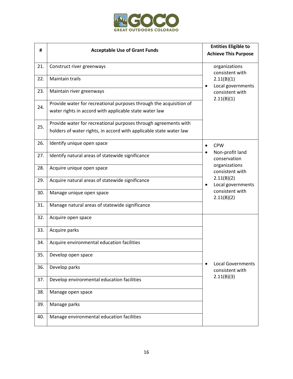

| #   | <b>Acceptable Use of Grant Funds</b>                                                                                                  | <b>Entities Eligible to</b><br><b>Achieve This Purpose</b> |
|-----|---------------------------------------------------------------------------------------------------------------------------------------|------------------------------------------------------------|
| 21. | Construct river greenways                                                                                                             | organizations<br>consistent with                           |
| 22. | <b>Maintain trails</b>                                                                                                                | 2.11(B)(1)<br>Local governments                            |
| 23. | Maintain river greenways                                                                                                              | consistent with<br>2.11(B)(1)                              |
| 24. | Provide water for recreational purposes through the acquisition of<br>water rights in accord with applicable state water law          |                                                            |
| 25. | Provide water for recreational purposes through agreements with<br>holders of water rights, in accord with applicable state water law |                                                            |
| 26. | Identify unique open space                                                                                                            | <b>CPW</b>                                                 |
| 27. | Identify natural areas of statewide significance                                                                                      | Non-profit land<br>conservation                            |
| 28. | Acquire unique open space                                                                                                             | organizations<br>consistent with                           |
| 29. | Acquire natural areas of statewide significance                                                                                       | 2.11(B)(2)<br>Local governments<br>$\bullet$               |
| 30. | Manage unique open space                                                                                                              | consistent with<br>2.11(B)(2)                              |
| 31. | Manage natural areas of statewide significance                                                                                        |                                                            |
| 32. | Acquire open space                                                                                                                    |                                                            |
| 33. | Acquire parks                                                                                                                         |                                                            |
| 34. | Acquire environmental education facilities                                                                                            |                                                            |
| 35. | Develop open space                                                                                                                    | <b>Local Governments</b>                                   |
| 36. | Develop parks                                                                                                                         | consistent with                                            |
| 37. | Develop environmental education facilities                                                                                            | 2.11(B)(3)                                                 |
| 38. | Manage open space                                                                                                                     |                                                            |
| 39. | Manage parks                                                                                                                          |                                                            |
| 40. | Manage environmental education facilities                                                                                             |                                                            |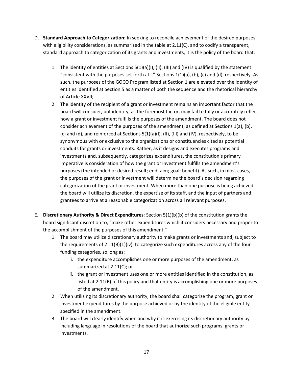- D. **Standard Approach to Categorization:** In seeking to reconcile achievement of the desired purposes with eligibility considerations, as summarized in the table at 2.11(C), and to codify a transparent, standard approach to categorization of its grants and investments, it is the policy of the board that:
	- 1. The identity of entities at Sections  $5(1)(a)(I), (II), (III)$  and  $(IV)$  is qualified by the statement "consistent with the purposes set forth at..." Sections  $1(1)(a)$ ,  $(b)$ ,  $(c)$  and  $(d)$ , respectively. As such, the purposes of the GOCO Program listed at Section 1 are elevated over the identity of entities identified at Section 5 as a matter of both the sequence and the rhetorical hierarchy of Article XXVII;
	- 2. The identity of the recipient of a grant or investment remains an important factor that the board will consider, but identity, as the foremost factor, may fail to fully or accurately reflect how a grant or investment fulfills the purposes of the amendment. The board does not consider achievement of the purposes of the amendment, as defined at Sections 1(a), (b), (c) and (d), and reinforced at Sections 5(1)(a)(I), (II), (III) and (IV), respectively, to be synonymous with or exclusive to the organizations or constituencies cited as potential conduits for grants or investments. Rather, as it designs and executes programs and investments and, subsequently, categorizes expenditures, the constitution's primary imperative is consideration of how the grant or investment fulfills the amendment's purposes (the intended or desired result; end; aim; goal; benefit). As such, in most cases, the purposes of the grant or investment will determine the board's decision regarding categorization of the grant or investment. When more than one purpose is being achieved the board will utilize its discretion, the expertise of its staff, and the input of partners and grantees to arrive at a reasonable categorization across all relevant purposes.
- E. **Discretionary Authority & Direct Expenditures**: Section 5(1)(b)(b) of the constitution grants the board significant discretion to, "make other expenditures which it considers necessary and proper to the accomplishment of the purposes of this amendment."
	- 1. The board may utilize discretionary authority to make grants or investments and, subject to the requirements of  $2.11(B)(1)(iv)$ , to categorize such expenditures across any of the four funding categories, so long as:
		- i. the expenditure accomplishes one or more purposes of the amendment, as summarized at 2.11(C); or
		- ii. the grant or investment uses one or more entities identified in the constitution, as listed at 2.11(B) of this policy and that entity is accomplishing one or more purposes of the amendment.
	- 2. When utilizing its discretionary authority, the board shall categorize the program, grant or investment expenditures by the purpose achieved or by the identity of the eligible entity specified in the amendment.
	- 3. The board will clearly identify when and why it is exercising its discretionary authority by including language in resolutions of the board that authorize such programs, grants or investments.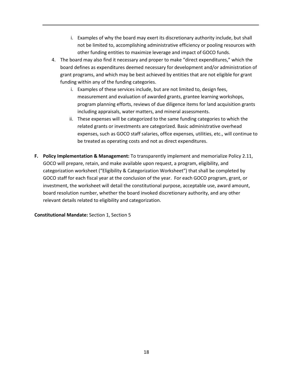- i. Examples of why the board may exert its discretionary authority include, but shall not be limited to, accomplishing administrative efficiency or pooling resources with other funding entities to maximize leverage and impact of GOCO funds.
- 4. The board may also find it necessary and proper to make "direct expenditures," which the board defines as expenditures deemed necessary for development and/or administration of grant programs, and which may be best achieved by entities that are not eligible for grant funding within any of the funding categories.
	- i. Examples of these services include, but are not limited to, design fees, measurement and evaluation of awarded grants, grantee learning workshops, program planning efforts, reviews of due diligence items for land acquisition grants including appraisals, water matters, and mineral assessments.
	- ii. These expenses will be categorized to the same funding categories to which the related grants or investments are categorized. Basic administrative overhead expenses, such as GOCO staff salaries, office expenses, utilities, etc., will continue to be treated as operating costs and not as direct expenditures.
- **F. Policy Implementation & Management:** To transparently implement and memorialize Policy 2.11, GOCO will prepare, retain, and make available upon request, a program, eligibility, and categorization worksheet ("Eligibility & Categorization Worksheet") that shall be completed by GOCO staff for each fiscal year at the conclusion of the year. For each GOCO program, grant, or investment, the worksheet will detail the constitutional purpose, acceptable use, award amount, board resolution number, whether the board invoked discretionary authority, and any other relevant details related to eligibility and categorization.

**Constitutional Mandate:** Section 1, Section 5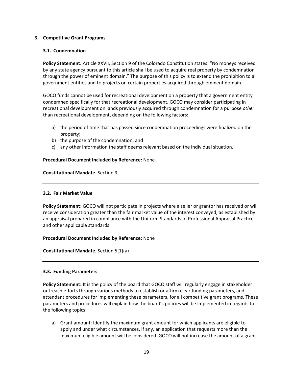# <span id="page-18-0"></span>**3. Competitive Grant Programs**

## <span id="page-18-1"></span>**3.1. Condemnation**

**Policy Statement***:* Article XXVII, Section 9 of the Colorado Constitution states: "No moneys received by any state agency pursuant to this article shall be used to acquire real property by condemnation through the power of eminent domain." The purpose of this policy is to extend the prohibition to all government entities and to projects on certain properties acquired through eminent domain.

GOCO funds cannot be used for recreational development on a property that a government entity condemned specifically for that recreational development. GOCO may consider participating in recreational development on lands previously acquired through condemnation for a purpose *other* than recreational development, depending on the following factors:

- a) the period of time that has passed since condemnation proceedings were finalized on the property;
- b) the purpose of the condemnation; and
- c) any other information the staff deems relevant based on the individual situation.

## **Procedural Document Included by Reference:** None

## **Constitutional Mandate***:* Section 9

# <span id="page-18-2"></span>**3.2. Fair Market Value**

**Policy Statement:** GOCO will not participate in projects where a seller or grantor has received or will receive consideration greater than the fair market value of the interest conveyed, as established by an appraisal prepared in compliance with the Uniform Standards of Professional Appraisal Practice and other applicable standards.

# **Procedural Document Included by Reference:** None

**Constitutional Mandate***:* Section 5(1)(a)

# <span id="page-18-3"></span>**3.3. Funding Parameters**

**Policy Statement:** It is the policy of the board that GOCO staff will regularly engage in stakeholder outreach efforts through various methods to establish or affirm clear funding parameters, and attendant procedures for implementing these parameters, for all competitive grant programs. These parameters and procedures will explain how the board's policies will be implemented in regards to the following topics:

a) Grant amount: Identify the maximum grant amount for which applicants are eligible to apply and under what circumstances, if any, an application that requests more than the maximum eligible amount will be considered. GOCO will not increase the amount of a grant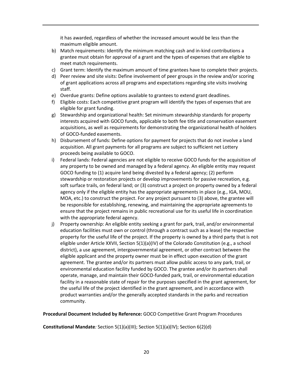it has awarded, regardless of whether the increased amount would be less than the maximum eligible amount.

- b) Match requirements: Identify the minimum matching cash and in-kind contributions a grantee must obtain for approval of a grant and the types of expenses that are eligible to meet match requirements.
- c) Grant term: Identify the maximum amount of time grantees have to complete their projects.
- d) Peer review and site visits: Define involvement of peer groups in the review and/or scoring of grant applications across all programs and expectations regarding site visits involving staff.
- e) Overdue grants: Define options available to grantees to extend grant deadlines.
- f) Eligible costs: Each competitive grant program will identify the types of expenses that are eligible for grant funding.
- g) Stewardship and organizational health: Set minimum stewardship standards for property interests acquired with GOCO funds, applicable to both fee title and conservation easement acquisitions, as well as requirements for demonstrating the organizational health of holders of GOCO-funded easements.
- h) Disbursement of funds: Define options for payment for projects that do not involve a land acquisition. All grant payments for all programs are subject to sufficient net Lottery proceeds being available to GOCO.
- i) Federal lands: Federal agencies are not eligible to receive GOCO funds for the acquisition of any property to be owned and managed by a federal agency. An eligible entity may request GOCO funding to (1) acquire land being divested by a federal agency; (2) perform stewardship or restoration projects or develop improvements for passive recreation, e.g. soft surface trails, on federal land; or (3) construct a project on property owned by a federal agency only if the eligible entity has the appropriate agreements in place (e.g., IGA, MOU, MOA, etc.) to construct the project. For any project pursuant to (3) above, the grantee will be responsible for establishing, renewing, and maintaining the appropriate agreements to ensure that the project remains in public recreational use for its useful life in coordination with the appropriate federal agency.
- j) Property ownership: An eligible entity seeking a grant for park, trail, and/or environmental education facilities must own or control (through a contract such as a lease) the respective property for the useful life of the project. If the property is owned by a third party that is not eligible under Article XXVII, Section 5(1)(a)(IV) of the Colorado Constitution (e.g., a school district), a use agreement, intergovernmental agreement, or other contract between the eligible applicant and the property owner must be in effect upon execution of the grant agreement. The grantee and/or its partners must allow public access to any park, trail, or environmental education facility funded by GOCO. The grantee and/or its partners shall operate, manage, and maintain their GOCO-funded park, trail, or environmental education facility in a reasonable state of repair for the purposes specified in the grant agreement, for the useful life of the project identified in the grant agreement, and in accordance with product warranties and/or the generally accepted standards in the parks and recreation community.

**Procedural Document Included by Reference:** GOCO Competitive Grant Program Procedures

**Constitutional Mandate***:* Section 5(1)(a)(III); Section 5(1)(a)(IV); Section 6(2)(d)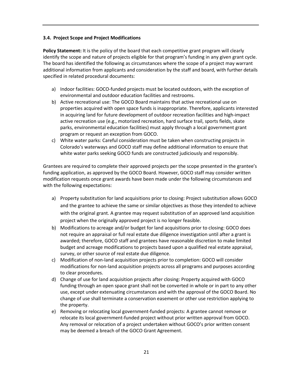# <span id="page-20-0"></span>**3.4. Project Scope and Project Modifications**

**Policy Statement:** It is the policy of the board that each competitive grant program will clearly identify the scope and nature of projects eligible for that program's funding in any given grant cycle. The board has identified the following as circumstances where the scope of a project may warrant additional information from applicants and consideration by the staff and board, with further details specified in related procedural documents:

- a) Indoor facilities: GOCO-funded projects must be located outdoors, with the exception of environmental and outdoor education facilities and restrooms.
- b) Active recreational use: The GOCO Board maintains that active recreational use on properties acquired with open space funds is inappropriate. Therefore, applicants interested in acquiring land for future development of outdoor recreation facilities and high-impact active recreation use (e.g., motorized recreation, hard surface trail, sports fields, skate parks, environmental education facilities) must apply through a local government grant program or request an exception from GOCO.
- c) White water parks: Careful consideration must be taken when constructing projects in Colorado's waterways and GOCO staff may define additional information to ensure that white water parks seeking GOCO funds are constructed judiciously and responsibly.

Grantees are required to complete their approved projects per the scope presented in the grantee's funding application, as approved by the GOCO Board. However, GOCO staff may consider written modification requests once grant awards have been made under the following circumstances and with the following expectations:

- a) Property substitution for land acquisitions prior to closing: Project substitution allows GOCO and the grantee to achieve the same or similar objectives as those they intended to achieve with the original grant. A grantee may request substitution of an approved land acquisition project when the originally approved project is no longer feasible.
- b) Modifications to acreage and/or budget for land acquisitions prior to closing: GOCO does not require an appraisal or full real estate due diligence investigation until after a grant is awarded; therefore, GOCO staff and grantees have reasonable discretion to make limited budget and acreage modifications to projects based upon a qualified real estate appraisal, survey, or other source of real estate due diligence.
- c) Modification of non-land acquisition projects prior to completion: GOCO will consider modifications for non-land acquisition projects across all programs and purposes according to clear procedures.
- d) Change of use for land acquisition projects after closing: Property acquired with GOCO funding through an open space grant shall not be converted in whole or in part to any other use, except under extenuating circumstances and with the approval of the GOCO Board. No change of use shall terminate a conservation easement or other use restriction applying to the property.
- e) Removing or relocating local government-funded projects: A grantee cannot remove or relocate its local government-funded project without prior written approval from GOCO. Any removal or relocation of a project undertaken without GOCO's prior written consent may be deemed a breach of the GOCO Grant Agreement.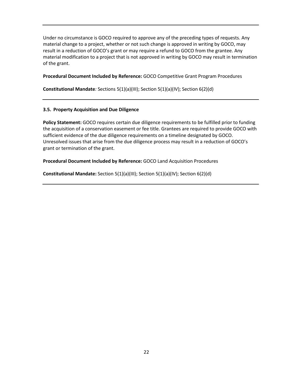Under no circumstance is GOCO required to approve any of the preceding types of requests. Any material change to a project, whether or not such change is approved in writing by GOCO, may result in a reduction of GOCO's grant or may require a refund to GOCO from the grantee. Any material modification to a project that is not approved in writing by GOCO may result in termination of the grant.

# **Procedural Document Included by Reference:** GOCO Competitive Grant Program Procedures

**Constitutional Mandate***:* Sections 5(1)(a)(III); Section 5(1)(a)(IV); Section 6(2)(d)

# <span id="page-21-0"></span>**3.5. Property Acquisition and Due Diligence**

**Policy Statement:** GOCO requires certain due diligence requirements to be fulfilled prior to funding the acquisition of a conservation easement or fee title. Grantees are required to provide GOCO with sufficient evidence of the due diligence requirements on a timeline designated by GOCO. Unresolved issues that arise from the due diligence process may result in a reduction of GOCO's grant or termination of the grant.

**Procedural Document Included by Reference:** GOCO Land Acquisition Procedures

**Constitutional Mandate:** Section 5(1)(a)(III); Section 5(1)(a)(IV); Section 6(2)(d)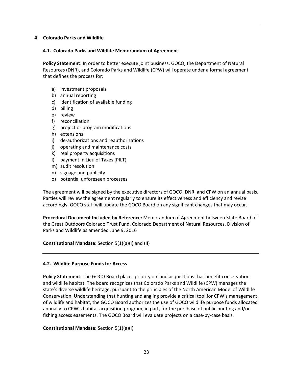## <span id="page-22-0"></span>**4. Colorado Parks and Wildlife**

#### <span id="page-22-1"></span>**4.1. Colorado Parks and Wildlife Memorandum of Agreement**

**Policy Statement:** In order to better execute joint business, GOCO, the Department of Natural Resources (DNR), and Colorado Parks and Wildlife (CPW) will operate under a formal agreement that defines the process for:

- a) investment proposals
- b) annual reporting
- c) identification of available funding
- d) billing
- e) review
- f) reconciliation
- g) project or program modifications
- h) extensions
- i) de-authorizations and reauthorizations
- j) operating and maintenance costs
- k) real property acquisitions
- l) payment in Lieu of Taxes (PILT)
- m) audit resolution
- n) signage and publicity
- o) potential unforeseen processes

The agreement will be signed by the executive directors of GOCO, DNR, and CPW on an annual basis. Parties will review the agreement regularly to ensure its effectiveness and efficiency and revise accordingly. GOCO staff will update the GOCO Board on any significant changes that may occur.

**Procedural Document Included by Reference:** Memorandum of Agreement between State Board of the Great Outdoors Colorado Trust Fund, Colorado Department of Natural Resources, Division of Parks and Wildlife as amended June 9, 2016

**Constitutional Mandate:** Section 5(1)(a)(I) and (II)

# <span id="page-22-2"></span>**4.2. Wildlife Purpose Funds for Access**

**Policy Statement:** The GOCO Board places priority on land acquisitions that benefit conservation and wildlife habitat. The board recognizes that Colorado Parks and Wildlife (CPW) manages the state's diverse wildlife heritage, pursuant to the principles of the North American Model of Wildlife Conservation. Understanding that hunting and angling provide a critical tool for CPW's management of wildlife and habitat, the GOCO Board authorizes the use of GOCO wildlife purpose funds allocated annually to CPW's habitat acquisition program, in part, for the purchase of public hunting and/or fishing access easements. The GOCO Board will evaluate projects on a case-by-case basis.

# **Constitutional Mandate:** Section 5(1)(a)(I)